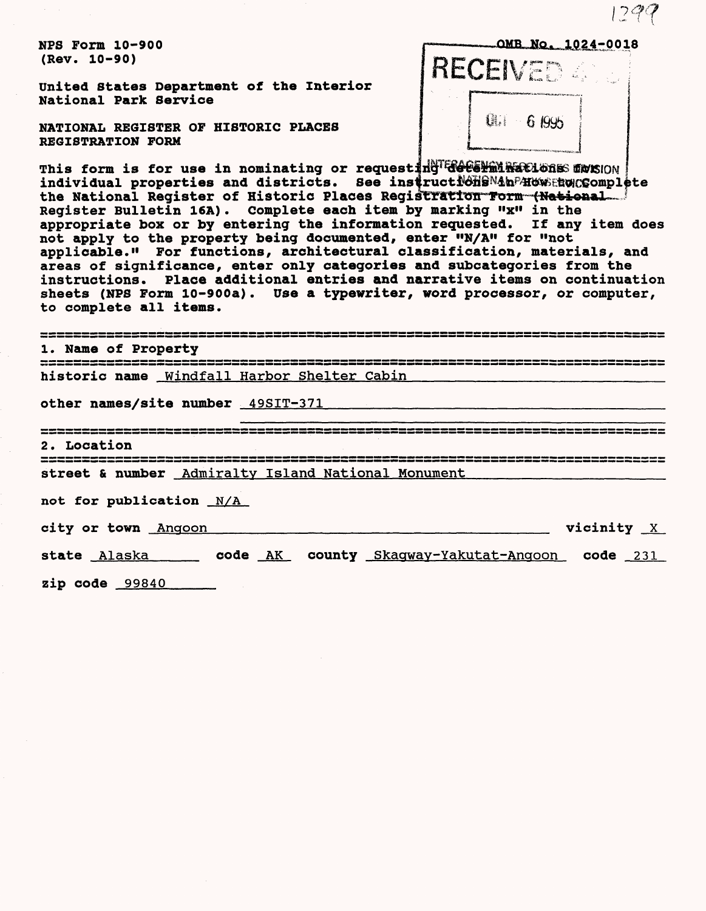NFS Form 10-900 O 018 (Rev. 10-90)

United states Department of the Interior National Park Service

NATIONAL REGISTER OF HISTORIC PLACES REGISTRATION FORM

UB. 6. KA  $1 - 1$ 

This form is for use in nominating or requesting teres in hations most individual properties and districts. See instructionship H6w h6w isomiete the National Register of Historic Places Registration Form (National 1) Register Bulletin 16A). Complete each item by marking "x" in the appropriate box or by entering the information requested. If any item does not apply to the property being documented, enter "N/A" for "not applicable." For functions, architectural classification, materials, and areas of significance, enter only categories and subcategories from the instructions. Place additional entries and narrative items on continuation sheets (NPS Form I0-900a). Use a typewriter, word processor, or computer, to complete all items.

| 1. Name of Property                                              |
|------------------------------------------------------------------|
| historic name Windfall Harbor Shelter Cabin                      |
| other names/site number 49SIT-371                                |
| 2. Location                                                      |
| street & number Admiralty Island National Monument               |
| not for publication N/A                                          |
| city or town Angoon<br>vicinity X                                |
| state Alaska ____ code AK county Skaqway-Yakutat-Angoon code 231 |
| zip code 99840                                                   |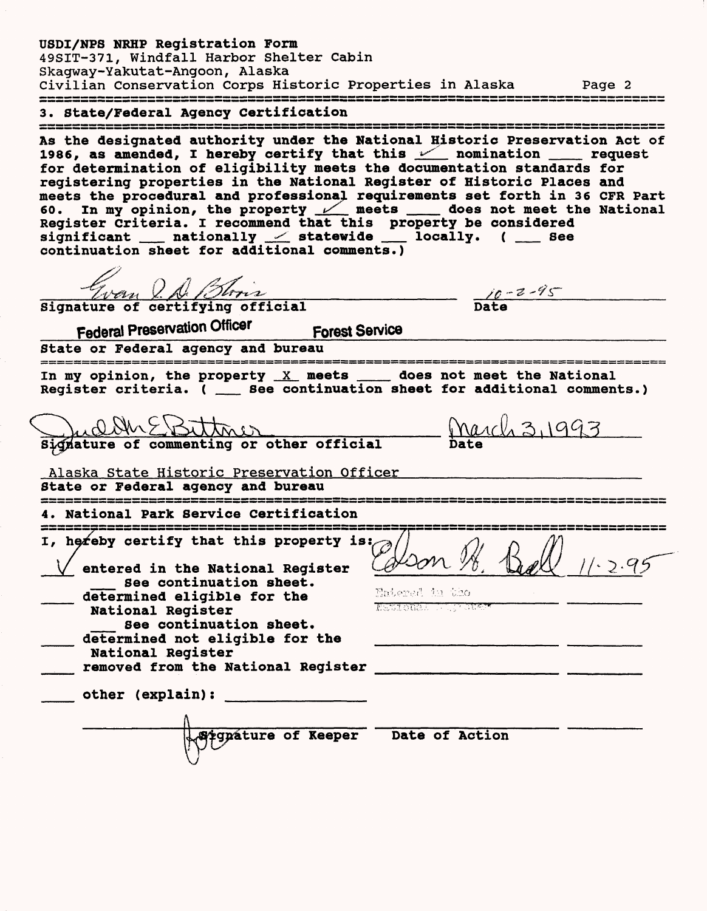USDI/NPS NRHP Registration Form 49SIT-371, Windfall Harbor Shelter Cabin Skagway-Yakutat-Angoon, Alaska Civilian Conservation Corps Historic Properties in Alaska Page 2 3. State/Federal Agency Certification ۔<br>اس کا کہنا جاتا گیا تھا کہ دیک اسک استدا میں انگلیزی میں میں اس کی جاتا ہے۔<br>سے خاندا میں میں میں بھی اس کی میں میں میں میں میں میں انگلیزی میں As the designated authority under the National Historic Preservation Act of 1986, as amended, I hereby certify that this  $\swarrow$  nomination \_\_\_ request for determination of eligibility meets the documentation standards for registering properties in the National Register of Historic Places and meets the procedural and professional requirements set forth in 36 CFR Part 60. In my opinion, the property  $\angle$  meets \_\_\_ does not meet the National Register Criteria. I recommend that this property be considered significant \_\_ nationally \_\_ statewide \_\_ locally. ( \_\_ See continuation sheet for additional comments.)  $\frac{C_{V\ell m} Q Q Q_{I\ell}}{S$ ignature of certifying official Date Federal Preservation Officer Forest Service State or Federal agency and bureau In my opinion, the property  $X$  meets  $\_\_\_\$  does not meet the National Register criteria. ( \_\_ See continuation sheet for additional comments.) ature of commenting or other official Date Alaska State Historic Preservation Officer State or Federal agency and bureau 4. National Park Service Certification I, hereby certify that this property is:  $'$  entered in the National Register See continuation sheet. Entered in the determined eligible for the National Register See continuation sheet. determined not eligible for the National Register removed from the National Register other (explain):  $\qquad \qquad \qquad$ typature of Keeper Date of Action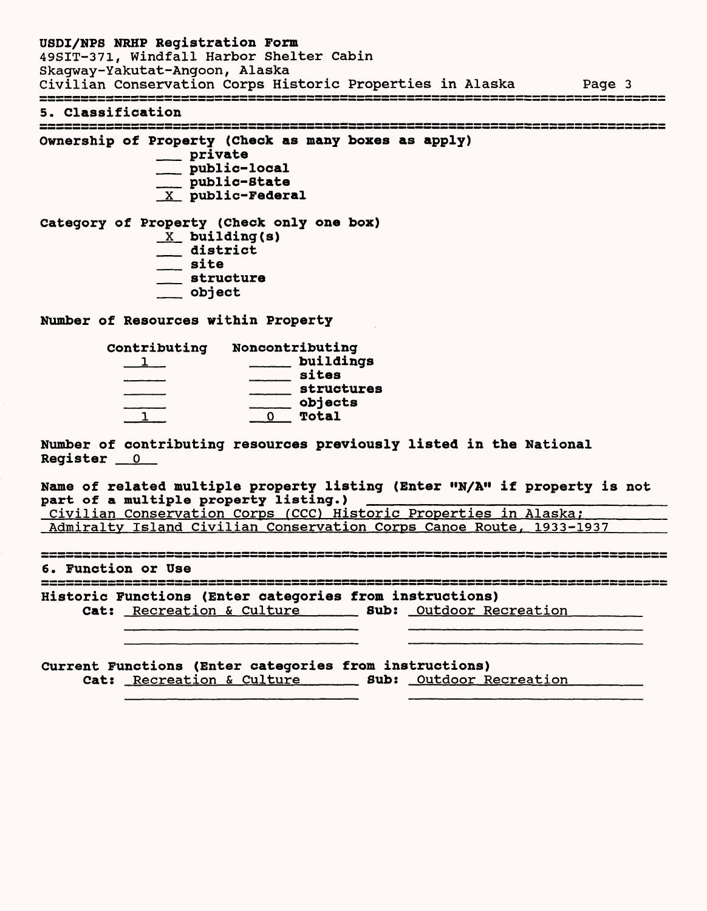| USDI/NPS NRHP Registration Form<br>49SIT-371, Windfall Harbor Shelter Cabin<br>Skagway-Yakutat-Angoon, Alaska<br>Civilian Conservation Corps Historic Properties in Alaska<br>Page 3 |  |
|--------------------------------------------------------------------------------------------------------------------------------------------------------------------------------------|--|
| 5. Classification                                                                                                                                                                    |  |
| Ownership of Property (Check as many boxes as apply)<br>__ private<br>public-local<br>public-State<br>X public-Federal                                                               |  |
| Category of Property (Check only one box)<br>$X$ building(s)<br>__ district<br>site<br>____ structure<br>object                                                                      |  |
| Number of Resources within Property                                                                                                                                                  |  |
| Contributing Noncontributing<br>buildings<br>$\mathbf{1}$<br>sites<br>_____ structures<br>objects<br>$\frac{1}{1}$<br>0 Total                                                        |  |
| Number of contributing resources previously listed in the National<br>Register 0<br>Name of related multiple property listing (Enter "N/A" if property is not                        |  |

part of a multiple property listing.)

| Civilian Conservation Corps (CCC) Historic Properties in Alaska;    |  |  |
|---------------------------------------------------------------------|--|--|
| Admiralty Island Civilian Conservation Corps Canoe Route, 1933-1937 |  |  |

6. Function or Use Historic Functions (Enter categories from instructions) Cat: Recreation & Culture 8ub: Outdoor Recreation

Current Functions (Enter categories from instructions) Cat: Recreation & Culture 8ub: Outdoor Recreation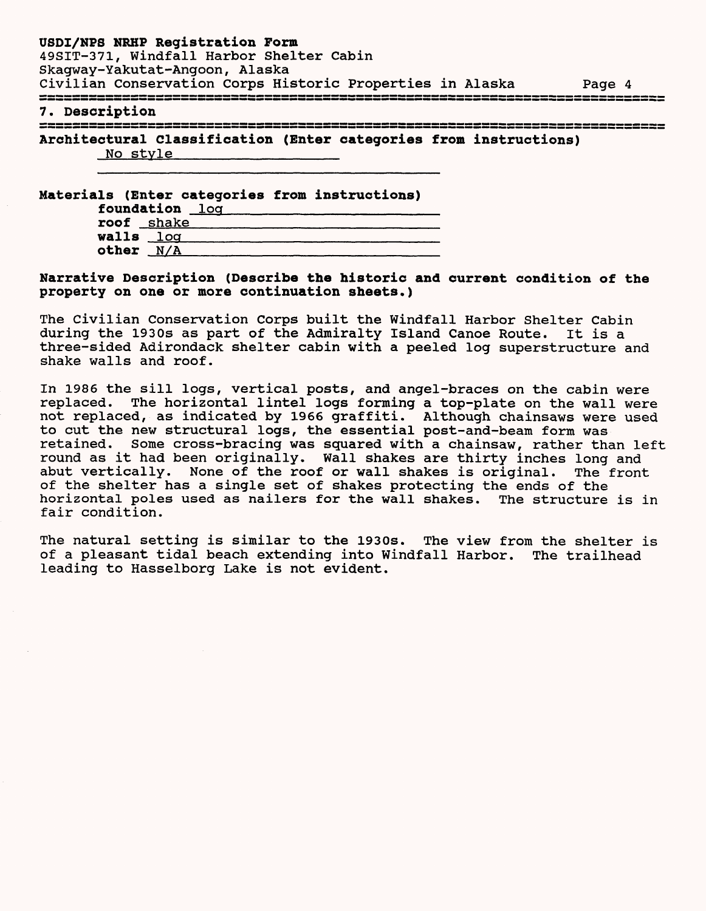# USDI/NFS NRHP Registration Form 49SIT-371, Windfall Harbor Shelter Cabin Skagway-Yakutat-Angoon, Alaska Civilian Conservation Corps Historic Properties in Alaska Page 4

7. Description Architectural Classification (Enter categories from instructions)

No style\_\_\_\_\_\_\_\_\_\_\_\_\_\_\_\_

Materials (Enter categories from instructions)

| foundation log |  |  |
|----------------|--|--|
| roof shake     |  |  |
| walls log      |  |  |
| other N/A      |  |  |

## Narrative Description (Describe the historic and current condition of the property on one or more continuation sheets )

The Civilian Conservation Corps built the Windfall Harbor Shelter Cabin during the 1930s as part of the Admiralty Island Canoe Route. It is a three-sided Adirondack shelter cabin with a peeled log superstructure and shake walls and roof.

In 1986 the sill logs, vertical posts, and angel-braces on the cabin were replaced. The horizontal lintel logs forming a top-plate on the wall were not replaced, as indicated by 1966 graffiti. Although chainsaws were used to cut the new structural logs, the essential post-and-beam form was retained. Some cross-bracing was squared with a chainsaw, rather than left round as it had been originally. Wall shakes are thirty inches long and abut vertically. None of the roof or wall shakes is original. The front of the shelter has a single set of shakes protecting the ends of the horizontal poles used as nailers for the wall shakes. The structure is in fair condition.

The natural setting is similar to the 1930s. The view from the shelter is of a pleasant tidal beach extending into Windfall Harbor. The trailhead leading to Hasselborg Lake is not evident.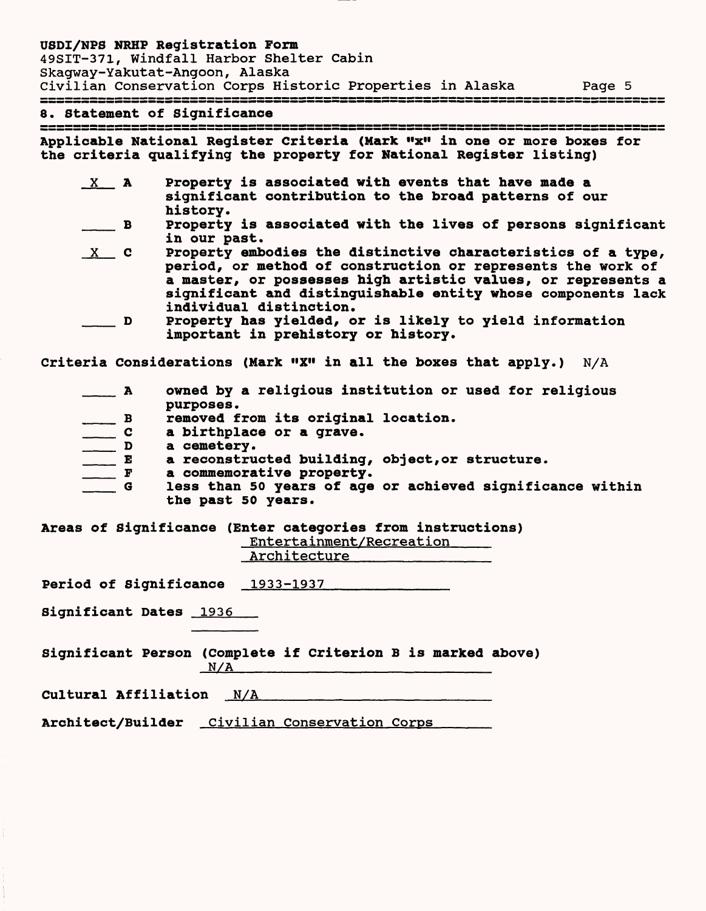| USDI/NPS NRHP Registration Form<br>49SIT-371, Windfall Harbor Shelter Cabin                 |                                                                                                |        |
|---------------------------------------------------------------------------------------------|------------------------------------------------------------------------------------------------|--------|
| Skagway-Yakutat-Angoon, Alaska<br>Civilian Conservation Corps Historic Properties in Alaska |                                                                                                | Page 5 |
|                                                                                             | أأخرسن أتفكأ ألننكأ القردر والمرة عصبه كثبت والتناز والأنب أكلمه وسدار واغبن وسبار ورزمه والمر |        |

8. Statement of significance

Applicable National Register Criteria (Mark "x" in one or more boxes for the criteria qualifying the property for National Register listing)

- X A Property is associated with events that have made a significant contribution to the broad patterns of our history.
- \_\_\_ B Property is associated with the lives of persons significant in our past.
- $X$  C Property embodies the distinctive characteristics of a type, period, or method of construction or represents the work of a master, or possesses high artistic values, or represents a significant and distinguishable entity whose components lack individual distinction.
- \_\_\_ D Property has yielded, or is likely to yield information important in prehistory or history.

Criteria Considerations (Mark "X" in all the boxes that apply.)  $N/A$ 

- **A** owned by a religious institution or used for religious purposes.
- B removed from its original location.<br>
C a birthplace or a grave.
- C a birthplace or a grave.<br>
D a cemetery. C a birthplac<br>
D a cemetery.<br>
E a reconstru
- 
- E a reconstructed building, object, or structure.<br>
F a commemorative property.
- **F** a commemorative property.<br>G less than 50 years of age
- less than 50 years of age or achieved significance within the past 50 years.

Areas of Significance (Enter categories from instructions)

Entertainment/Recreation\_\_\_\_ Architecture

Period of Significance 1933-1937

Significant Dates 1936

Significant Person (Complete if Criterion B is marked above)  $N/A$ 

Cultural Affiliation  $N/A$ 

**Architect/Builder** Civilian Conservation Corps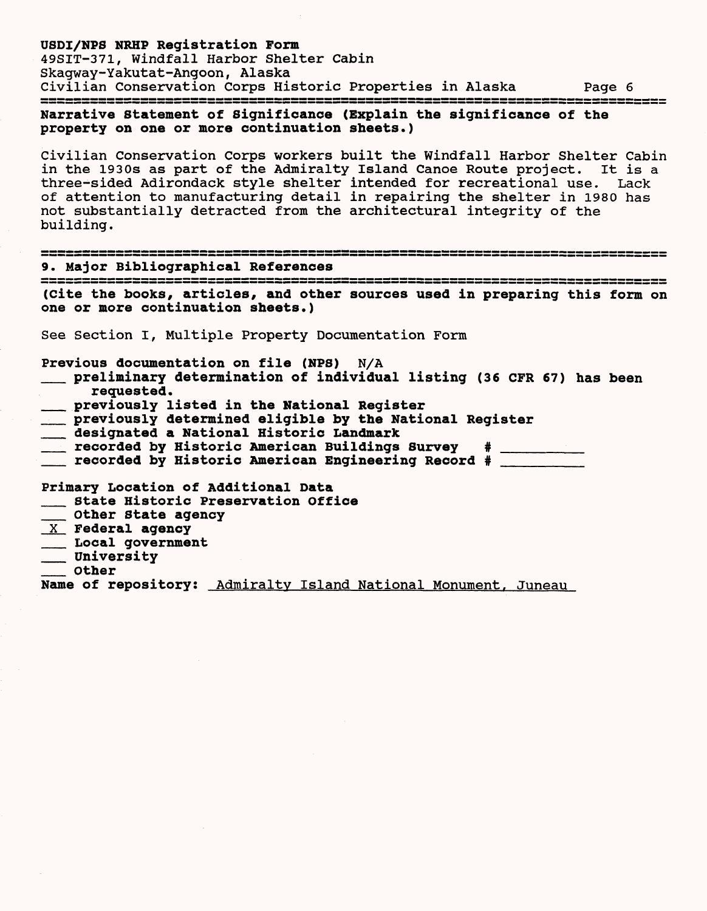# U8DI/NPS NRHP Registration Form 49SIT-371, Windfall Harbor Shelter Cabin Skagway-Yakutat-Angoon, Alaska Civilian Conservation Corps Historic Properties in Alaska Page 6 Narrative Statement of Significance (Explain the significance of the property on one or more continuation sheets.) Civilian Conservation Corps workers built the Windfall Harbor Shelter Cabin in the 1930s as part of the Admiralty Island Canoe Route project. It is a three-sided Adirondack style shelter intended for recreational use. Lack of attention to manufacturing detail in repairing the shelter in 1980 has not substantially detracted from the architectural integrity of the building. 9. Major Bibliographical References (Cite the books, articles, and other sources used in preparing this form on one or more continuation sheets.) See Section I, Multiple Property Documentation Form Previous documentation on file (NPS) N/A \_\_ preliminary determination of individual listing (36 CFR 67) has been requested. \_\_ previously listed in the National Register \_\_ previously determined eligible by the National Register

- \_\_ designated a National Historic Landmark \_\_ recorded by Historic American Buildings Survey # \_\_\_\_\_\_\_
- \_\_ recorded by Historic American Engineering Record # \_\_\_\_\_\_\_

Primary Location of Additional Data

- \_\_ State Historic Preservation Office
- \_\_ Other State agency
- $X$  Federal agency
- \_\_ Local government
- \_\_ University
- \_\_ Other

Name of repository: Admiralty Island National Monument, Juneau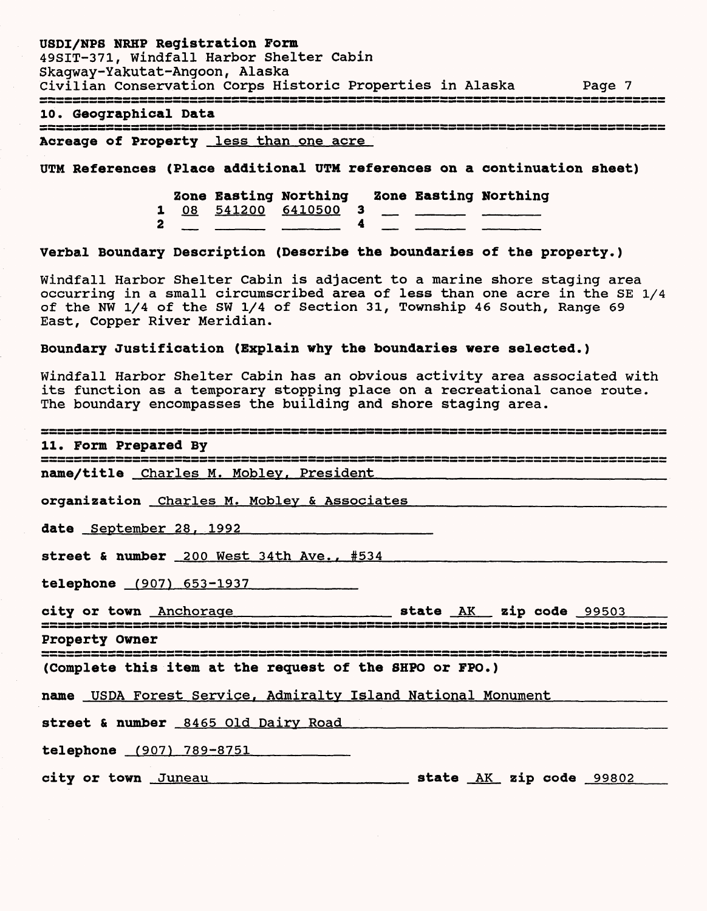USDI/NPS NRHP Registration Form 49SIT-371, Windfall Harbor Shelter Cabin Skagway-Yakutat-Angoon, Alaska Civilian Conservation Corps Historic Properties in Alaska Page 7

10. Geographical Data Acreage of Property less than one acre

UTM References (Place additional UTM references on a continuation sheet)

Zone Easting Northing Zone Easting Northing 1 08 541200 6410500 3 \_ \_\_\_\_\_ \_\_\_\_\_\_ 2 \_ \_\_\_\_\_\_ \_\_\_\_\_\_ 4 \_ \_\_\_\_\_ \_\_\_\_\_

Verbal Boundary Description (Describe the boundaries of the property.)

Windfall Harbor Shelter Cabin is adjacent to a marine shore staging area occurring in a small circumscribed area of less than one acre in the SE 1/4 of the NW 1/4 of the SW 1/4 of Section 31, Township 46 South, Range 69 East, Copper River Meridian.

### Boundary Justification (Explain why the boundaries were selected.)

Windfall Harbor Shelter Cabin has an obvious activity area associated with its function as a temporary stopping place on a recreational canoe route. The boundary encompasses the building and shore staging area.

## 11. Form Prepared By

name/title Charles M. Moblev. President

organization Charles M. Mobley & Associates

date September 28, 1992

street & number 200 West 34th Ave., #534

telephone (907) 653-1937\_\_\_\_\_\_\_\_\_\_

city or town Anchorage\_\_\_\_\_\_\_\_\_\_\_\_\_\_\_ state AK zip code 99503

### Property Owner

(Complete this item at the request of the 8HPO or FPO.)

name USDA Forest Service, Admiralty Island National Monument

street & number \_8465 Old Dairy Road

telephone (907) 789-8751

city or town Juneau \_\_\_\_\_\_\_\_\_\_\_\_\_\_\_\_\_\_\_\_\_\_\_\_\_\_ state AK zip code 99802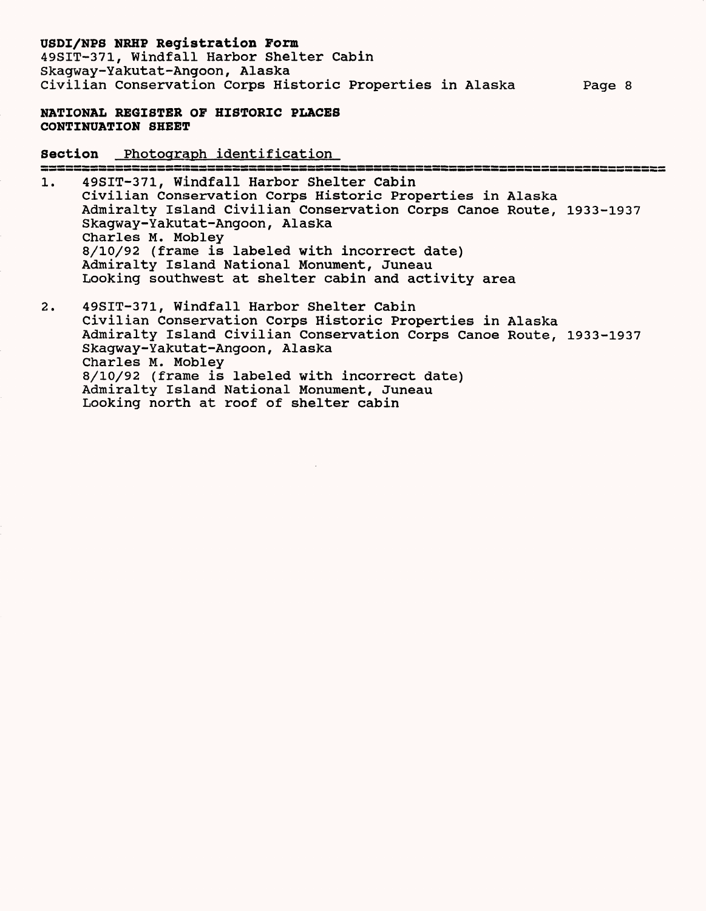49SIT-371, Windfall Harbor Shelter Cabin Skagway-Yakutat-Angoon, Alaska Civilian Conservation Corps Historic Properties in Alaska Page 8

**NATIONAL REGISTER OF HISTORIC PLACES CONTINUATION SHEET**

Section Photograph identification

- 49SIT-371, Windfall Harbor Shelter Cabin  $\mathbf{1}$ . Civilian Conservation Corps Historic Properties in Alaska Admiralty Island Civilian Conservation Corps Canoe Route, 1933-1937 Skagway-Yakutat-Angoon, Alaska Charles M. Mobley 8/10/92 (frame is labeled with incorrect date) Admiralty Island National Monument, Juneau Looking southwest at shelter cabin and activity area
- 49SIT-371, Windfall Harbor Shelter Cabin  $2.$ Civilian Conservation Corps Historic Properties in Alaska Admiralty Island Civilian Conservation Corps Canoe Route, 1933-1937 Skagway-Yakutat-Angoon, Alaska Charles M. Mobley 8/10/92 (frame is labeled with incorrect date) Admiralty Island National Monument, Juneau Looking north at roof of shelter cabin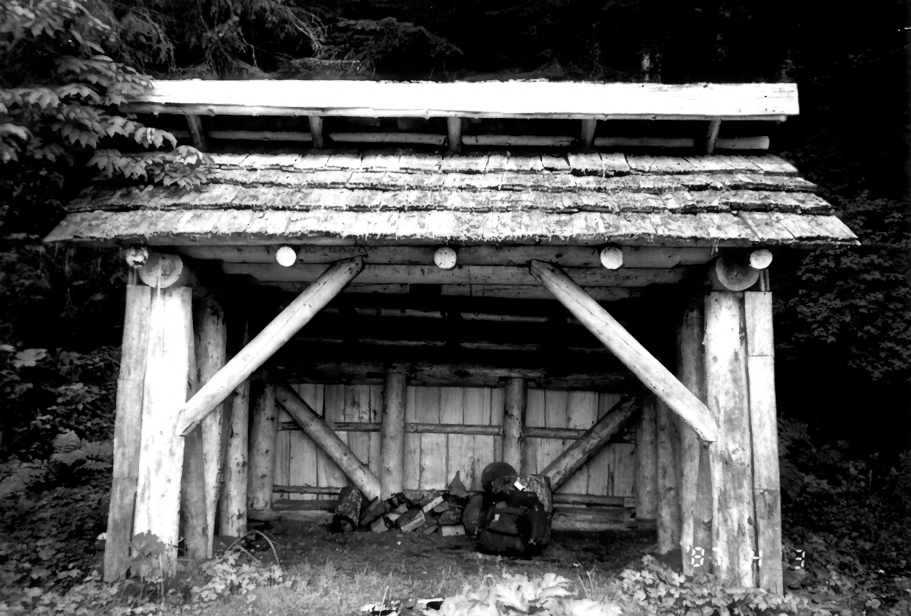